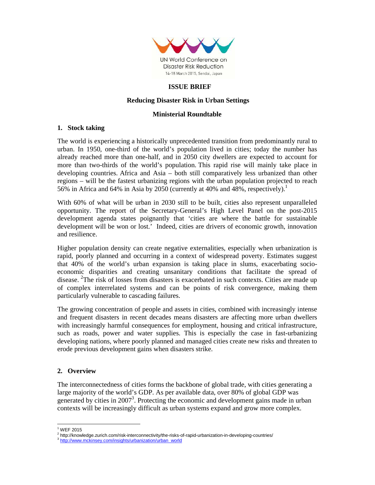

## **ISSUE BRIEF**

# **Reducing Disaster Risk in Urban Settings**

### **Ministerial Roundtable**

## **1. Stock taking**

The world is experiencing a historically unprecedented transition from predominantly rural to urban. In 1950, one-third of the world's population lived in cities; today the number has already reached more than one-half, and in 2050 city dwellers are expected to account for more than two-thirds of the world's population. This rapid rise will mainly take place in developing countries. Africa and Asia – both still comparatively less urbanized than other regions – will be the fastest urbanizing regions with the urban population projected to reach 56% in Africa and 64% in Asia by 2050 (currently at 40% and 48%, respectively).<sup>1</sup>

With  $60\%$  of what will be urban in 2030 still to be built, cities also represent unparalleled opportunity. The report of the Secretary-General's High Level Panel on the post-2015 development agenda states poignantly that 'cities are where the battle for sustainable development will be won or lost.' Indeed, cities are drivers of economic growth, innovation and resilience.

Higher population density can create negative externalities, especially when urbanization is rapid, poorly planned and occurring in a context of widespread poverty. Estimates suggest that 40% of the world's urban expansion is taking place in slums, exacerbating socioeconomic disparities and creating unsanitary conditions that facilitate the spread of disease. <sup>2</sup>The risk of losses from disasters is exacerbated in such contexts. Cities are made up of complex interrelated systems and can be points of risk convergence, making them particularly vulnerable to cascading failures.

The growing concentration of people and assets in cities, combined with increasingly intense and frequent disasters in recent decades means disasters are affecting more urban dwellers with increasingly harmful consequences for employment, housing and critical infrastructure, such as roads, power and water supplies. This is especially the case in fast-urbanizing developing nations, where poorly planned and managed cities create new risks and threaten to erode previous development gains when disasters strike.

## **2. Overview**

The interconnectedness of cities forms the backbone of global trade, with cities generating a large majority of the world's GDP. As per available data, over 80% of global GDP was generated by cities in 2007<sup>3</sup>. Protecting the economic and development gains made in urban contexts will be increasingly difficult as urban systems expand and grow more complex.

 $\overline{a}$ 

<sup>1</sup> WEF 2015

<sup>&</sup>lt;sup>2</sup> http://knowledge.zurich.com/risk-interconnectivity/the-risks-of-rapid-urbanization-in-developing-countries/

<sup>3</sup> http://www.mckinsey.com/insights/urbanization/urban\_world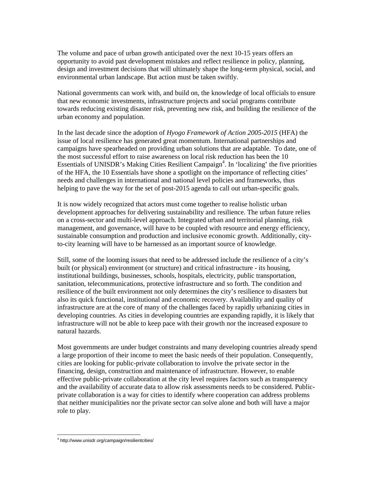The volume and pace of urban growth anticipated over the next 10-15 years offers an opportunity to avoid past development mistakes and reflect resilience in policy, planning, design and investment decisions that will ultimately shape the long-term physical, social, and environmental urban landscape. But action must be taken swiftly.

National governments can work with, and build on, the knowledge of local officials to ensure that new economic investments, infrastructure projects and social programs contribute towards reducing existing disaster risk, preventing new risk, and building the resilience of the urban economy and population.

In the last decade since the adoption of *Hyogo Framework of Action 2005-2015* (HFA) the issue of local resilience has generated great momentum. International partnerships and campaigns have spearheaded on providing urban solutions that are adaptable. To date, one of the most successful effort to raise awareness on local risk reduction has been the 10 Essentials of UNISDR's Making Cities Resilient Campaign<sup>4</sup>. In 'localizing' the five priorities of the HFA, the 10 Essentials have shone a spotlight on the importance of reflecting cities' needs and challenges in international and national level policies and frameworks, thus helping to pave the way for the set of post-2015 agenda to call out urban-specific goals.

It is now widely recognized that actors must come together to realise holistic urban development approaches for delivering sustainability and resilience. The urban future relies on a cross-sector and multi-level approach. Integrated urban and territorial planning, risk management, and governance, will have to be coupled with resource and energy efficiency, sustainable consumption and production and inclusive economic growth. Additionally, cityto-city learning will have to be harnessed as an important source of knowledge.

Still, some of the looming issues that need to be addressed include the resilience of a city's built (or physical) environment (or structure) and critical infrastructure - its housing, institutional buildings, businesses, schools, hospitals, electricity, public transportation, sanitation, telecommunications, protective infrastructure and so forth. The condition and resilience of the built environment not only determines the city's resilience to disasters but also its quick functional, institutional and economic recovery. Availability and quality of infrastructure are at the core of many of the challenges faced by rapidly urbanizing cities in developing countries. As cities in developing countries are expanding rapidly, it is likely that infrastructure will not be able to keep pace with their growth nor the increased exposure to natural hazards.

Most governments are under budget constraints and many developing countries already spend a large proportion of their income to meet the basic needs of their population. Consequently, cities are looking for public-private collaboration to involve the private sector in the financing, design, construction and maintenance of infrastructure. However, to enable effective public-private collaboration at the city level requires factors such as transparency and the availability of accurate data to allow risk assessments needs to be considered. Publicprivate collaboration is a way for cities to identify where cooperation can address problems that neither municipalities nor the private sector can solve alone and both will have a major role to play.

l,

<sup>4</sup> http://www.unisdr.org/campaign/resilientcities/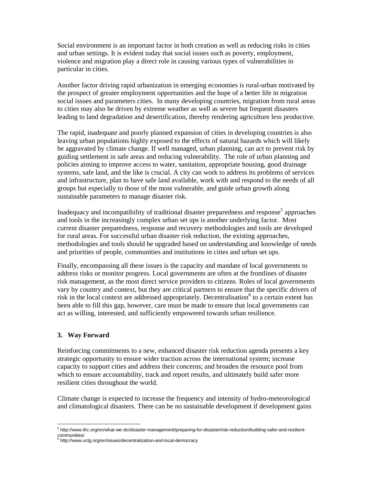Social environment is an important factor in both creation as well as reducing risks in cities and urban settings. It is evident today that social issues such as poverty, employment, violence and migration play a direct role in causing various types of vulnerabilities in particular in cities.

Another factor driving rapid urbanization in emerging economies is rural-urban motivated by the prospect of greater employment opportunities and the hope of a better life in migration social issues and parameters cities. In many developing countries, migration from rural areas to cities may also be driven by extreme weather as well as severe but frequent disasters leading to land degradation and desertification, thereby rendering agriculture less productive.

The rapid, inadequate and poorly planned expansion of cities in developing countries is also leaving urban populations highly exposed to the effects of natural hazards which will likely be aggravated by climate change. If well managed, urban planning, can act to prevent risk by guiding settlement in safe areas and reducing vulnerability. The role of urban planning and policies aiming to improve access to water, sanitation, appropriate housing, good drainage systems, safe land, and the like is crucial. A city can work to address its problems of services and infrastructure, plan to have safe land available, work with and respond to the needs of all groups but especially to those of the most vulnerable, and guide urban growth along sustainable parameters to manage disaster risk.

Inadequacy and incompatibility of traditional disaster preparedness and response<sup>5</sup> approaches and tools in the increasingly complex urban set ups is another underlying factor. Most current disaster preparedness, response and recovery methodologies and tools are developed for rural areas. For successful urban disaster risk reduction, the existing approaches, methodologies and tools should be upgraded based on understanding and knowledge of needs and priorities of people, communities and institutions in cities and urban set ups.

Finally, encompassing all these issues is the capacity and mandate of local governments to address risks or monitor progress. Local governments are often at the frontlines of disaster risk management, as the most direct service providers to citizens. Roles of local governments vary by country and context, but they are critical partners to ensure that the specific drivers of risk in the local context are addressed appropriately. Decentralisation<sup>6</sup> to a certain extent has been able to fill this gap, however, care must be made to ensure that local governments can act as willing, interested, and sufficiently empowered towards urban resilience.

## **3. Way Forward**

 $\overline{a}$ 

Reinforcing commitments to a new, enhanced disaster risk reduction agenda presents a key strategic opportunity to ensure wider traction across the international system; increase capacity to support cities and address their concerns; and broaden the resource pool from which to ensure accountability, track and report results, and ultimately build safer more resilient cities throughout the world.

Climate change is expected to increase the frequency and intensity of hydro-meteorological and climatological disasters. There can be no sustainable development if development gains

<sup>5</sup> http://www.ifrc.org/en/what-we-do/disaster-management/preparing-for-disaster/risk-reduction/building-safer-and-resilientcommunities/

<sup>&</sup>lt;sup>6</sup> http://www.uclg.org/en/issues/decentralization-and-local-democracy